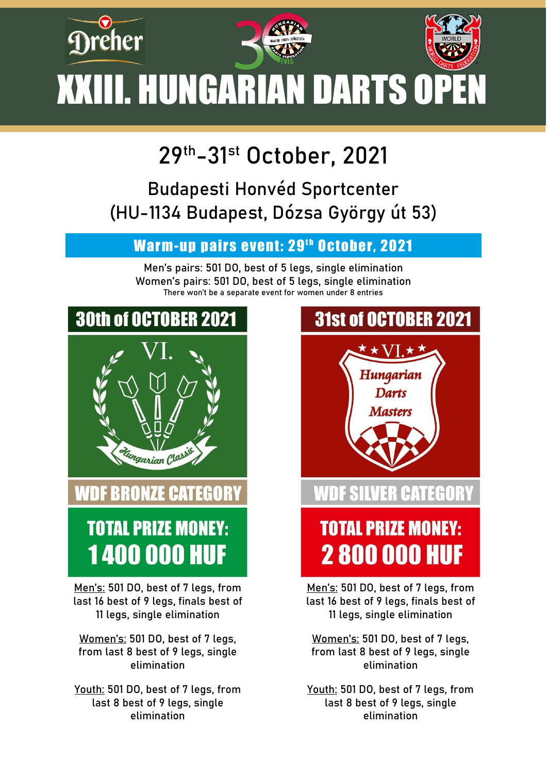

## **29th-31st October, 2021**

## Budapesti Honvéd Sportcenter (HU-1134 Budapest, Dózsa György út 53)

#### Warm-up pairs event: 29<sup>th</sup> October, 2021

Men's pairs: 501 DO, best of 5 legs, single elimination Women's pairs: 501 DO, best of 5 legs, single elimination There won't be a separate event for women under 8 entries



## **WDF BRONZE CATEGORY**

# **TOTAL PRIZE MONEY: 1400 000 HUF**

Men's: 501 DO, best of 7 legs, from last 16 best of 9 legs, finals best of 11 legs, single elimination

Women's: 501 DO, best of 7 legs, from last 8 best of 9 legs, single elimination

Youth: 501 DO, best of 7 legs, from last 8 best of 9 legs, single elimination



last 16 best of 9 legs, finals best of 11 legs, single elimination

Women's: 501 DO, best of 7 legs, from last 8 best of 9 legs, single elimination

Youth: 501 DO, best of 7 legs, from last 8 best of 9 legs, single elimination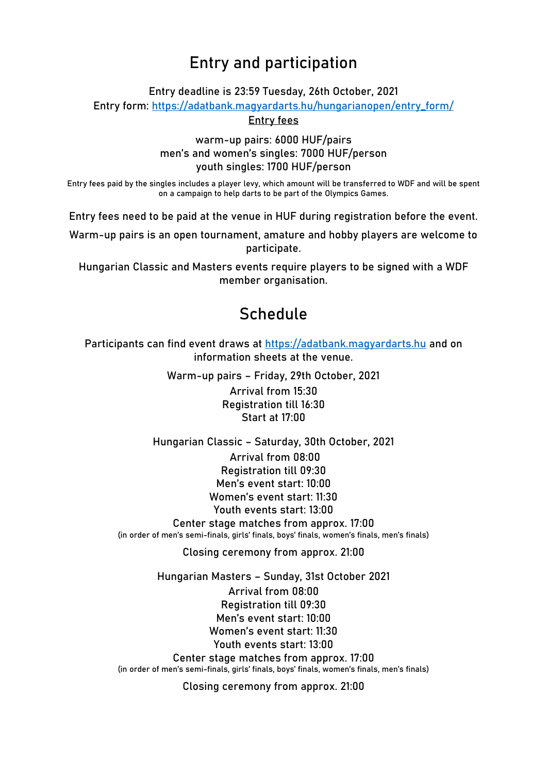#### **Entry and participation**

Entry deadline is 23:59 Tuesday, 26th October, 2021

Entry form: [https://adatbank.magyardarts.hu/hungarianopen/entry\\_form/](https://adatbank.magyardarts.hu/hungarianopen/entry_form/)

Entry fees

warm-up pairs: 6000 HUF/pairs men's and women's singles: 7000 HUF/person youth singles: 1700 HUF/person

Entry fees paid by the singles includes a player levy, which amount will be transferred to WDF and will be spent on a campaign to help darts to be part of the Olympics Games.

Entry fees need to be paid at the venue in HUF during registration before the event.

Warm-up pairs is an open tournament, amature and hobby players are welcome to participate.

Hungarian Classic and Masters events require players to be signed with a WDF member organisation.

#### **Schedule**

Participants can find event draws at [https://adatbank.magyardarts.hu](https://adatbank.magyardarts.hu/) and on information sheets at the venue.

> Warm-up pairs – Friday, 29th October, 2021 Arrival from 15:30 Registration till 16:30 Start at 17:00

Hungarian Classic – Saturday, 30th October, 2021 Arrival from 08:00 Registration till 09:30 Men's event start: 10:00 Women's event start: 11:30 Youth events start: 13:00 Center stage matches from approx. 17:00 (in order of men's semi-finals, girls' finals, boys' finals, women's finals, men's finals)

Closing ceremony from approx. 21:00

Hungarian Masters – Sunday, 31st October 2021 Arrival from 08:00 Registration till 09:30 Men's event start: 10:00 Women's event start: 11:30 Youth events start: 13:00 Center stage matches from approx. 17:00 (in order of men's semi-finals, girls' finals, boys' finals, women's finals, men's finals)

Closing ceremony from approx. 21:00